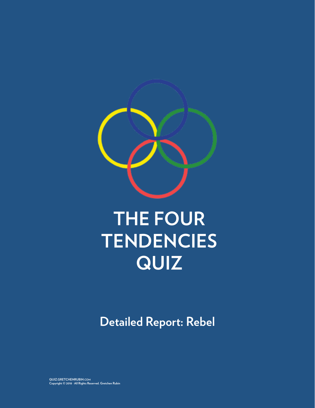

# **THE FOUR TENDENCIES QUIZ**

**Detailed Report: Rebel**

**QUIZ.GRETCHENRUBIN.COM Copyright © 2018 · All Rights Reserved. Gretchen Rubin**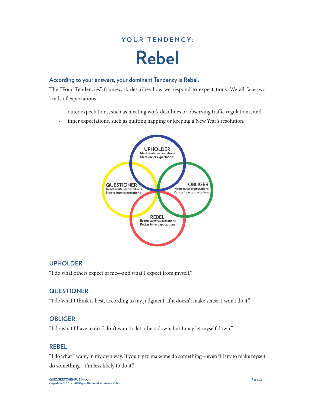## YOUR TENDENCY: **Rebel**

#### **According to your answers, your dominant Tendency is Rebel.**

The "Four Tendencies" framework describes how we respond to expectations. We all face two kinds of expectations:

- outer expectations, such as meeting work deadlines or observing traffic regulations, and
- inner expectations, such as quitting napping or keeping a New Year's resolution.



#### **UPHOLDER:**

"I do what others expect of me—and what I expect from myself."

#### **QUESTIONER:**

"I do what I think is best, according to my judgment. If it doesn't make sense, I won't do it."

#### **OBLIGER:**

"I do what I have to do. I don't want to let others down, but I may let myself down."

#### **REBEL:**

"I do what I want, in my own way. If you try to make me do something—even if I try to make myself do something—I'm less likely to do it."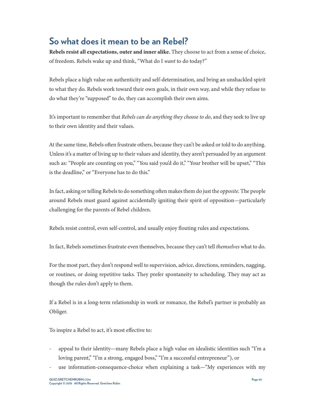### **So what does it mean to be an Rebel?**

**Rebels resist all expectations, outer and inner alike.** They choose to act from a sense of choice, of freedom. Rebels wake up and think, "What do I *want* to do today?"

Rebels place a high value on authenticity and self-determination, and bring an unshackled spirit to what they do. Rebels work toward their own goals, in their own way, and while they refuse to do what they're "supposed" to do, they can accomplish their own aims.

It's important to remember that *Rebels can do anything they choose to do*, and they seek to live up to their own identity and their values.

At the same time, Rebels often frustrate others, because they can't be asked or told to do anything. Unless it's a matter of living up to their values and identity, they aren't persuaded by an argument such as: "People are counting on you," "You said you'd do it," "Your brother will be upset," "This is the deadline," or "Everyone has to do this."

In fact, asking or telling Rebels to do something often makes them do just the *opposite*. The people around Rebels must guard against accidentally igniting their spirit of opposition—particularly challenging for the parents of Rebel children.

Rebels resist control, even self-control, and usually enjoy flouting rules and expectations.

In fact, Rebels sometimes frustrate even themselves, because they can't tell *themselves* what to do.

For the most part, they don't respond well to supervision, advice, directions, reminders, nagging, or routines, or doing repetitive tasks. They prefer spontaneity to scheduling. They may act as though the rules don't apply to them.

If a Rebel is in a long-term relationship in work or romance, the Rebel's partner is probably an Obliger.

To inspire a Rebel to act, it's most effective to:

- appeal to their identity—many Rebels place a high value on idealistic identities such "I'm a loving parent," "I'm a strong, engaged boss," "I'm a successful entrepreneur"), or
- use information-consequence-choice when explaining a task—"My experiences with my